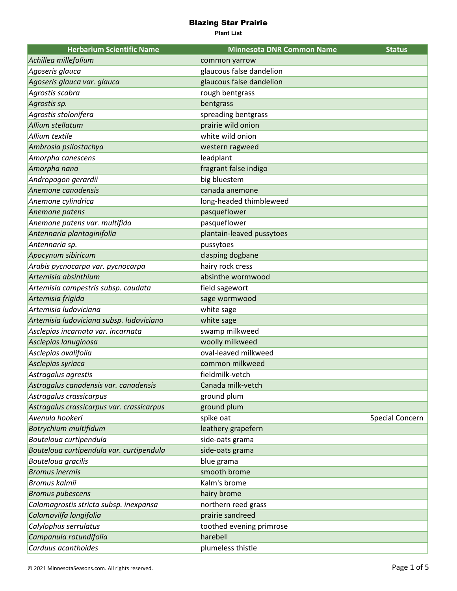| <b>Herbarium Scientific Name</b>          | <b>Minnesota DNR Common Name</b> | <b>Status</b>   |
|-------------------------------------------|----------------------------------|-----------------|
| Achillea millefolium                      | common yarrow                    |                 |
| Agoseris glauca                           | glaucous false dandelion         |                 |
| Agoseris glauca var. glauca               | glaucous false dandelion         |                 |
| Agrostis scabra                           | rough bentgrass                  |                 |
| Agrostis sp.                              | bentgrass                        |                 |
| Agrostis stolonifera                      | spreading bentgrass              |                 |
| Allium stellatum                          | prairie wild onion               |                 |
| Allium textile                            | white wild onion                 |                 |
| Ambrosia psilostachya                     | western ragweed                  |                 |
| Amorpha canescens                         | leadplant                        |                 |
| Amorpha nana                              | fragrant false indigo            |                 |
| Andropogon gerardii                       | big bluestem                     |                 |
| Anemone canadensis                        | canada anemone                   |                 |
| Anemone cylindrica                        | long-headed thimbleweed          |                 |
| Anemone patens                            | pasqueflower                     |                 |
| Anemone patens var. multifida             | pasqueflower                     |                 |
| Antennaria plantaginifolia                | plantain-leaved pussytoes        |                 |
| Antennaria sp.                            | pussytoes                        |                 |
| Apocynum sibiricum                        | clasping dogbane                 |                 |
| Arabis pycnocarpa var. pycnocarpa         | hairy rock cress                 |                 |
| Artemisia absinthium                      | absinthe wormwood                |                 |
| Artemisia campestris subsp. caudata       | field sagewort                   |                 |
| Artemisia frigida                         | sage wormwood                    |                 |
| Artemisia ludoviciana                     | white sage                       |                 |
| Artemisia ludoviciana subsp. ludoviciana  | white sage                       |                 |
| Asclepias incarnata var. incarnata        | swamp milkweed                   |                 |
| Asclepias lanuginosa                      | woolly milkweed                  |                 |
| Asclepias ovalifolia                      | oval-leaved milkweed             |                 |
| Asclepias syriaca                         | common milkweed                  |                 |
| Astragalus agrestis                       | fieldmilk-vetch                  |                 |
| Astragalus canadensis var. canadensis     | Canada milk-vetch                |                 |
| Astragalus crassicarpus                   | ground plum                      |                 |
| Astragalus crassicarpus var. crassicarpus | ground plum                      |                 |
| Avenula hookeri                           | spike oat                        | Special Concern |
| Botrychium multifidum                     | leathery grapefern               |                 |
| Bouteloua curtipendula                    | side-oats grama                  |                 |
| Bouteloua curtipendula var. curtipendula  | side-oats grama                  |                 |
| Bouteloua gracilis                        | blue grama                       |                 |
| <b>Bromus inermis</b>                     | smooth brome                     |                 |
| Bromus kalmii                             | Kalm's brome                     |                 |
| <b>Bromus pubescens</b>                   | hairy brome                      |                 |
| Calamagrostis stricta subsp. inexpansa    | northern reed grass              |                 |
| Calamovilfa longifolia                    | prairie sandreed                 |                 |
| Calylophus serrulatus                     | toothed evening primrose         |                 |
| Campanula rotundifolia                    | harebell                         |                 |
| Carduus acanthoides                       | plumeless thistle                |                 |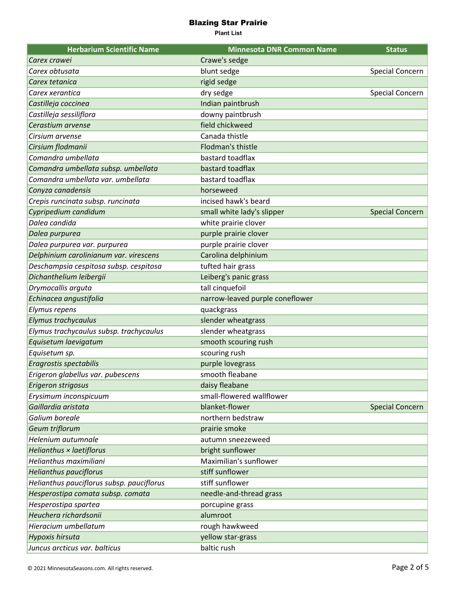| <b>Herbarium Scientific Name</b>          | <b>Minnesota DNR Common Name</b> | <b>Status</b>          |
|-------------------------------------------|----------------------------------|------------------------|
| Carex crawei                              | Crawe's sedge                    |                        |
| Carex obtusata                            | blunt sedge                      | Special Concern        |
| Carex tetanica                            | rigid sedge                      |                        |
| Carex xerantica                           | dry sedge                        | Special Concern        |
| Castilleja coccinea                       | Indian paintbrush                |                        |
| Castilleja sessiliflora                   | downy paintbrush                 |                        |
| Cerastium arvense                         | field chickweed                  |                        |
| Cirsium arvense                           | Canada thistle                   |                        |
| Cirsium flodmanii                         | Flodman's thistle                |                        |
| Comandra umbellata                        | bastard toadflax                 |                        |
| Comandra umbellata subsp. umbellata       | bastard toadflax                 |                        |
| Comandra umbellata var. umbellata         | bastard toadflax                 |                        |
| Conyza canadensis                         | horseweed                        |                        |
| Crepis runcinata subsp. runcinata         | incised hawk's beard             |                        |
| Cypripedium candidum                      | small white lady's slipper       | <b>Special Concern</b> |
| Dalea candida                             | white prairie clover             |                        |
| Dalea purpurea                            | purple prairie clover            |                        |
| Dalea purpurea var. purpurea              | purple prairie clover            |                        |
| Delphinium carolinianum var. virescens    | Carolina delphinium              |                        |
| Deschampsia cespitosa subsp. cespitosa    | tufted hair grass                |                        |
| Dichanthelium leibergii                   | Leiberg's panic grass            |                        |
| Drymocallis arguta                        | tall cinquefoil                  |                        |
| Echinacea angustifolia                    | narrow-leaved purple coneflower  |                        |
| Elymus repens                             | quackgrass                       |                        |
| Elymus trachycaulus                       | slender wheatgrass               |                        |
| Elymus trachycaulus subsp. trachycaulus   | slender wheatgrass               |                        |
| Equisetum laevigatum                      | smooth scouring rush             |                        |
| Equisetum sp.                             | scouring rush                    |                        |
| Eragrostis spectabilis                    | purple lovegrass                 |                        |
| Erigeron glabellus var. pubescens         | smooth fleabane                  |                        |
| Erigeron strigosus                        | daisy fleabane                   |                        |
| Erysimum inconspicuum                     | small-flowered wallflower        |                        |
| Gaillardia aristata                       | blanket-flower                   | <b>Special Concern</b> |
| Galium boreale                            | northern bedstraw                |                        |
| Geum triflorum                            | prairie smoke                    |                        |
| Helenium autumnale                        | autumn sneezeweed                |                        |
| Helianthus × laetiflorus                  | bright sunflower                 |                        |
| Helianthus maximiliani                    | Maximilian's sunflower           |                        |
| <b>Helianthus pauciflorus</b>             | stiff sunflower                  |                        |
| Helianthus pauciflorus subsp. pauciflorus | stiff sunflower                  |                        |
| Hesperostipa comata subsp. comata         | needle-and-thread grass          |                        |
| Hesperostipa spartea                      | porcupine grass                  |                        |
| Heuchera richardsonii                     | alumroot                         |                        |
| Hieracium umbellatum                      | rough hawkweed                   |                        |
| Hypoxis hirsuta                           | yellow star-grass                |                        |
| Juncus arcticus var. balticus             | baltic rush                      |                        |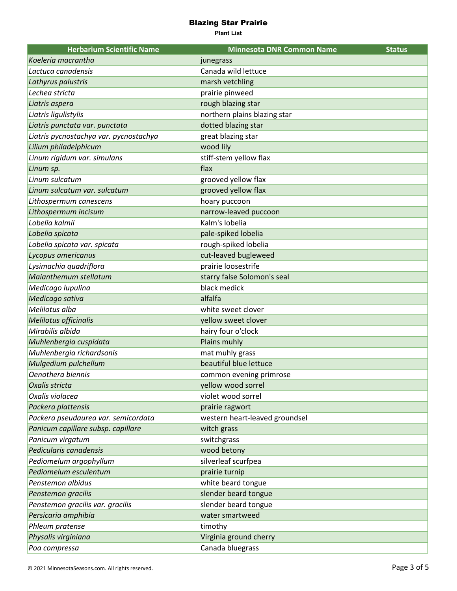| <b>Herbarium Scientific Name</b>       | <b>Minnesota DNR Common Name</b> | <b>Status</b> |
|----------------------------------------|----------------------------------|---------------|
| Koeleria macrantha                     | junegrass                        |               |
| Lactuca canadensis                     | Canada wild lettuce              |               |
| Lathyrus palustris                     | marsh vetchling                  |               |
| Lechea stricta                         | prairie pinweed                  |               |
| Liatris aspera                         | rough blazing star               |               |
| Liatris ligulistylis                   | northern plains blazing star     |               |
| Liatris punctata var. punctata         | dotted blazing star              |               |
| Liatris pycnostachya var. pycnostachya | great blazing star               |               |
| Lilium philadelphicum                  | wood lily                        |               |
| Linum rigidum var. simulans            | stiff-stem yellow flax           |               |
| Linum sp.                              | flax                             |               |
| Linum sulcatum                         | grooved yellow flax              |               |
| Linum sulcatum var. sulcatum           | grooved yellow flax              |               |
| Lithospermum canescens                 | hoary puccoon                    |               |
| Lithospermum incisum                   | narrow-leaved puccoon            |               |
| Lobelia kalmii                         | Kalm's lobelia                   |               |
| Lobelia spicata                        | pale-spiked lobelia              |               |
| Lobelia spicata var. spicata           | rough-spiked lobelia             |               |
| Lycopus americanus                     | cut-leaved bugleweed             |               |
| Lysimachia quadriflora                 | prairie loosestrife              |               |
| Maianthemum stellatum                  | starry false Solomon's seal      |               |
| Medicago lupulina                      | black medick                     |               |
| Medicago sativa                        | alfalfa                          |               |
| Melilotus alba                         | white sweet clover               |               |
| Melilotus officinalis                  | yellow sweet clover              |               |
| Mirabilis albida                       | hairy four o'clock               |               |
| Muhlenbergia cuspidata                 | Plains muhly                     |               |
| Muhlenbergia richardsonis              | mat muhly grass                  |               |
| Mulgedium pulchellum                   | beautiful blue lettuce           |               |
| Oenothera biennis                      | common evening primrose          |               |
| Oxalis stricta                         | yellow wood sorrel               |               |
| Oxalis violacea                        | violet wood sorrel               |               |
| Packera plattensis                     | prairie ragwort                  |               |
| Packera pseudaurea var. semicordata    | western heart-leaved groundsel   |               |
| Panicum capillare subsp. capillare     | witch grass                      |               |
| Panicum virgatum                       | switchgrass                      |               |
| Pedicularis canadensis                 | wood betony                      |               |
| Pediomelum argophyllum                 | silverleaf scurfpea              |               |
| Pediomelum esculentum                  | prairie turnip                   |               |
| Penstemon albidus                      | white beard tongue               |               |
| Penstemon gracilis                     | slender beard tongue             |               |
| Penstemon gracilis var. gracilis       | slender beard tongue             |               |
| Persicaria amphibia                    | water smartweed                  |               |
| Phleum pratense                        | timothy                          |               |
| Physalis virginiana                    | Virginia ground cherry           |               |
| Poa compressa                          | Canada bluegrass                 |               |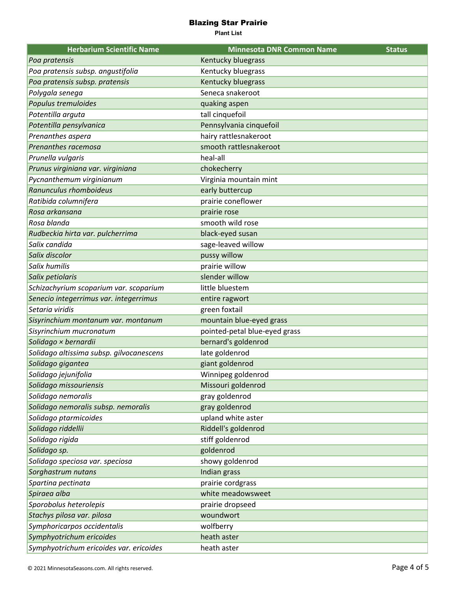| <b>Herbarium Scientific Name</b>         | <b>Minnesota DNR Common Name</b> | <b>Status</b> |
|------------------------------------------|----------------------------------|---------------|
| Poa pratensis                            | Kentucky bluegrass               |               |
| Poa pratensis subsp. angustifolia        | Kentucky bluegrass               |               |
| Poa pratensis subsp. pratensis           | Kentucky bluegrass               |               |
| Polygala senega                          | Seneca snakeroot                 |               |
| Populus tremuloides                      | quaking aspen                    |               |
| Potentilla arguta                        | tall cinquefoil                  |               |
| Potentilla pensylvanica                  | Pennsylvania cinquefoil          |               |
| Prenanthes aspera                        | hairy rattlesnakeroot            |               |
| Prenanthes racemosa                      | smooth rattlesnakeroot           |               |
| Prunella vulgaris                        | heal-all                         |               |
| Prunus virginiana var. virginiana        | chokecherry                      |               |
| Pycnanthemum virginianum                 | Virginia mountain mint           |               |
| Ranunculus rhomboideus                   | early buttercup                  |               |
| Ratibida columnifera                     | prairie coneflower               |               |
| Rosa arkansana                           | prairie rose                     |               |
| Rosa blanda                              | smooth wild rose                 |               |
| Rudbeckia hirta var. pulcherrima         | black-eyed susan                 |               |
| Salix candida                            | sage-leaved willow               |               |
| Salix discolor                           | pussy willow                     |               |
| Salix humilis                            | prairie willow                   |               |
| Salix petiolaris                         | slender willow                   |               |
| Schizachyrium scoparium var. scoparium   | little bluestem                  |               |
| Senecio integerrimus var. integerrimus   | entire ragwort                   |               |
| Setaria viridis                          | green foxtail                    |               |
| Sisyrinchium montanum var. montanum      | mountain blue-eyed grass         |               |
| Sisyrinchium mucronatum                  | pointed-petal blue-eyed grass    |               |
| Solidago × bernardii                     | bernard's goldenrod              |               |
| Solidago altissima subsp. gilvocanescens | late goldenrod                   |               |
| Solidago gigantea                        | giant goldenrod                  |               |
| Solidago jejunifolia                     | Winnipeg goldenrod               |               |
| Solidago missouriensis                   | Missouri goldenrod               |               |
| Solidago nemoralis                       | gray goldenrod                   |               |
| Solidago nemoralis subsp. nemoralis      | gray goldenrod                   |               |
| Solidago ptarmicoides                    | upland white aster               |               |
| Solidago riddellii                       | Riddell's goldenrod              |               |
| Solidago rigida                          | stiff goldenrod                  |               |
| Solidago sp.                             | goldenrod                        |               |
| Solidago speciosa var. speciosa          | showy goldenrod                  |               |
| Sorghastrum nutans                       | Indian grass                     |               |
| Spartina pectinata                       | prairie cordgrass                |               |
| Spiraea alba                             | white meadowsweet                |               |
| Sporobolus heterolepis                   | prairie dropseed                 |               |
| Stachys pilosa var. pilosa               | woundwort                        |               |
| Symphoricarpos occidentalis              | wolfberry                        |               |
| Symphyotrichum ericoides                 | heath aster                      |               |
| Symphyotrichum ericoides var. ericoides  | heath aster                      |               |